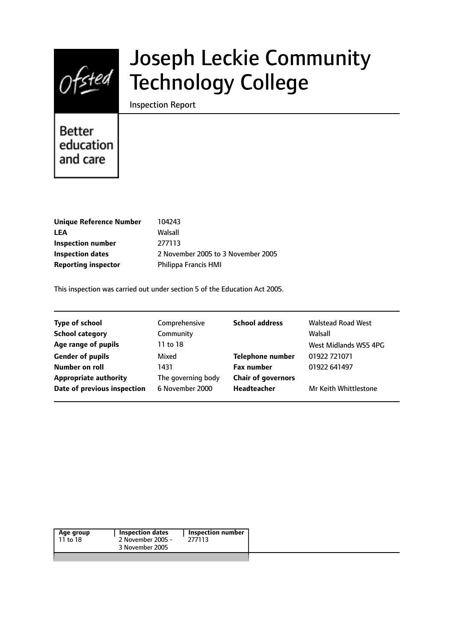

# Joseph Leckie Community Technology College

Inspection Report

**Better** education and care

| Walsall<br>LEA<br>277113<br>Inspection number                 |
|---------------------------------------------------------------|
|                                                               |
|                                                               |
| 2 November 2005 to 3 November 2005<br><b>Inspection dates</b> |
| Reporting inspector<br><b>Philippa Francis HMI</b>            |

This inspection was carried out under section 5 of the Education Act 2005.

| <b>Type of school</b>        | Comprehensive      | <b>School address</b>     | <b>Walstead Road West</b> |
|------------------------------|--------------------|---------------------------|---------------------------|
| <b>School category</b>       | Community          |                           | Walsall                   |
| Age range of pupils          | 11 to 18           |                           | West Midlands WS5 4PG     |
| <b>Gender of pupils</b>      | Mixed              | <b>Telephone number</b>   | 01922 721071              |
| Number on roll               | 1431               | <b>Fax number</b>         | 01922 641497              |
| <b>Appropriate authority</b> | The governing body | <b>Chair of governors</b> |                           |
| Date of previous inspection  | 6 November 2000    | <b>Headteacher</b>        | Mr Keith Whittlestone     |
|                              |                    |                           |                           |

| Age group | Inspection dates  | Inspection number |
|-----------|-------------------|-------------------|
| 11 to 18  | 2 November 2005 - | 277113            |
|           | 3 November 2005   |                   |
|           |                   |                   |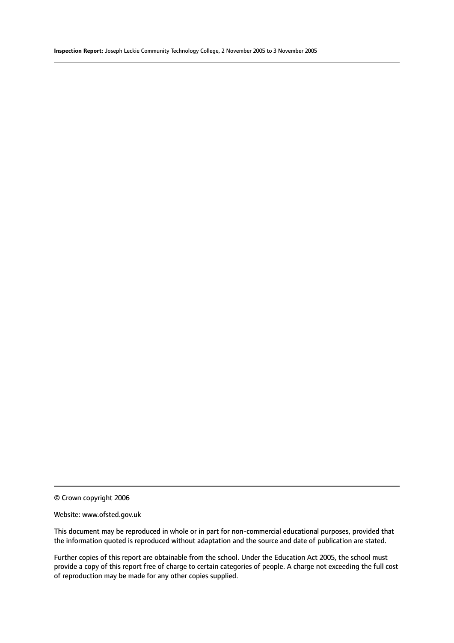© Crown copyright 2006

#### Website: www.ofsted.gov.uk

This document may be reproduced in whole or in part for non-commercial educational purposes, provided that the information quoted is reproduced without adaptation and the source and date of publication are stated.

Further copies of this report are obtainable from the school. Under the Education Act 2005, the school must provide a copy of this report free of charge to certain categories of people. A charge not exceeding the full cost of reproduction may be made for any other copies supplied.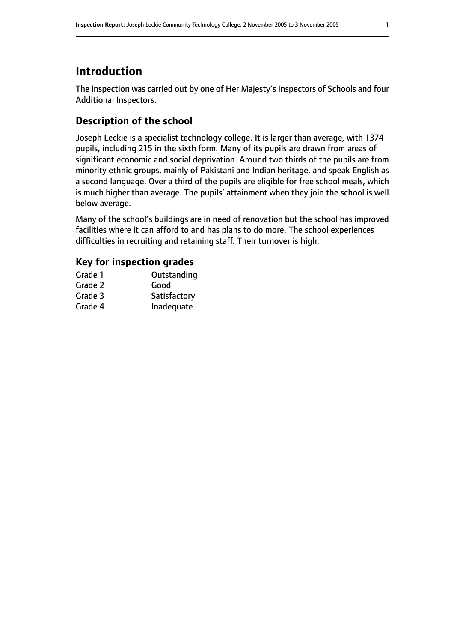# **Introduction**

The inspection was carried out by one of Her Majesty's Inspectors of Schools and four Additional Inspectors.

# **Description of the school**

Joseph Leckie is a specialist technology college. It is larger than average, with 1374 pupils, including 215 in the sixth form. Many of its pupils are drawn from areas of significant economic and social deprivation. Around two thirds of the pupils are from minority ethnic groups, mainly of Pakistani and Indian heritage, and speak English as a second language. Over a third of the pupils are eligible for free school meals, which is much higher than average. The pupils' attainment when they join the school is well below average.

Many of the school's buildings are in need of renovation but the school has improved facilities where it can afford to and has plans to do more. The school experiences difficulties in recruiting and retaining staff. Their turnover is high.

# **Key for inspection grades**

| Grade 1 | Outstanding  |
|---------|--------------|
| Grade 2 | Good         |
| Grade 3 | Satisfactory |
| Grade 4 | Inadequate   |
|         |              |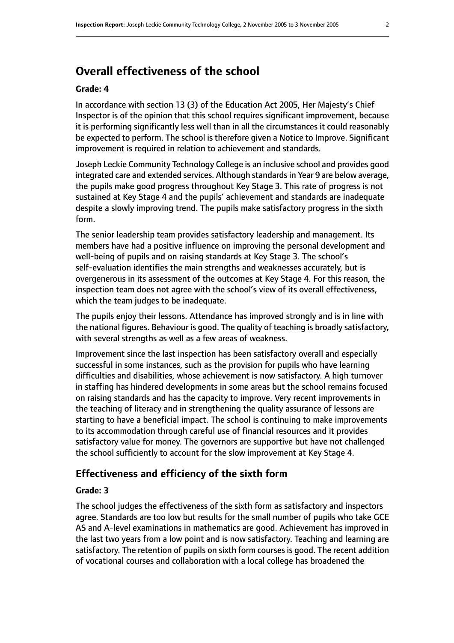# **Overall effectiveness of the school**

#### **Grade: 4**

In accordance with section 13 (3) of the Education Act 2005, Her Majesty's Chief Inspector is of the opinion that this school requires significant improvement, because it is performing significantly less well than in all the circumstances it could reasonably be expected to perform. The school is therefore given a Notice to Improve. Significant improvement is required in relation to achievement and standards.

Joseph Leckie Community Technology College is an inclusive school and provides good integrated care and extended services. Although standards in Year 9 are below average, the pupils make good progress throughout Key Stage 3. This rate of progress is not sustained at Key Stage 4 and the pupils' achievement and standards are inadequate despite a slowly improving trend. The pupils make satisfactory progress in the sixth form.

The senior leadership team provides satisfactory leadership and management. Its members have had a positive influence on improving the personal development and well-being of pupils and on raising standards at Key Stage 3. The school's self-evaluation identifies the main strengths and weaknesses accurately, but is overgenerous in its assessment of the outcomes at Key Stage 4. For this reason, the inspection team does not agree with the school's view of its overall effectiveness, which the team judges to be inadequate.

The pupils enjoy their lessons. Attendance has improved strongly and is in line with the national figures. Behaviour is good. The quality of teaching is broadly satisfactory, with several strengths as well as a few areas of weakness.

Improvement since the last inspection has been satisfactory overall and especially successful in some instances, such as the provision for pupils who have learning difficulties and disabilities, whose achievement is now satisfactory. A high turnover in staffing has hindered developments in some areas but the school remains focused on raising standards and has the capacity to improve. Very recent improvements in the teaching of literacy and in strengthening the quality assurance of lessons are starting to have a beneficial impact. The school is continuing to make improvements to its accommodation through careful use of financial resources and it provides satisfactory value for money. The governors are supportive but have not challenged the school sufficiently to account for the slow improvement at Key Stage 4.

#### **Effectiveness and efficiency of the sixth form**

#### **Grade: 3**

The school judges the effectiveness of the sixth form as satisfactory and inspectors agree. Standards are too low but results for the small number of pupils who take GCE AS and A-level examinations in mathematics are good. Achievement has improved in the last two years from a low point and is now satisfactory. Teaching and learning are satisfactory. The retention of pupils on sixth form courses is good. The recent addition of vocational courses and collaboration with a local college has broadened the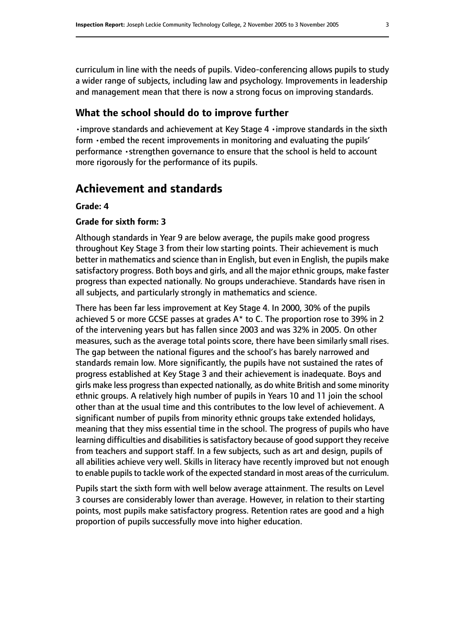curriculum in line with the needs of pupils. Video-conferencing allows pupils to study a wider range of subjects, including law and psychology. Improvements in leadership and management mean that there is now a strong focus on improving standards.

## **What the school should do to improve further**

•improve standards and achievement at Key Stage 4 •improve standards in the sixth form •embed the recent improvements in monitoring and evaluating the pupils' performance •strengthen governance to ensure that the school is held to account more rigorously for the performance of its pupils.

# **Achievement and standards**

#### **Grade: 4**

#### **Grade for sixth form: 3**

Although standards in Year 9 are below average, the pupils make good progress throughout Key Stage 3 from their low starting points. Their achievement is much better in mathematics and science than in English, but even in English, the pupils make satisfactory progress. Both boys and girls, and all the major ethnic groups, make faster progress than expected nationally. No groups underachieve. Standards have risen in all subjects, and particularly strongly in mathematics and science.

There has been far less improvement at Key Stage 4. In 2000, 30% of the pupils achieved 5 or more GCSE passes at grades A\* to C. The proportion rose to 39% in 2 of the intervening years but has fallen since 2003 and was 32% in 2005. On other measures, such as the average total points score, there have been similarly small rises. The gap between the national figures and the school's has barely narrowed and standards remain low. More significantly, the pupils have not sustained the rates of progress established at Key Stage 3 and their achievement is inadequate. Boys and girls make less progressthan expected nationally, as do white British and some minority ethnic groups. A relatively high number of pupils in Years 10 and 11 join the school other than at the usual time and this contributes to the low level of achievement. A significant number of pupils from minority ethnic groups take extended holidays, meaning that they miss essential time in the school. The progress of pupils who have learning difficulties and disabilities is satisfactory because of good support they receive from teachers and support staff. In a few subjects, such as art and design, pupils of all abilities achieve very well. Skills in literacy have recently improved but not enough to enable pupils to tackle work of the expected standard in most areas of the curriculum.

Pupils start the sixth form with well below average attainment. The results on Level 3 courses are considerably lower than average. However, in relation to their starting points, most pupils make satisfactory progress. Retention rates are good and a high proportion of pupils successfully move into higher education.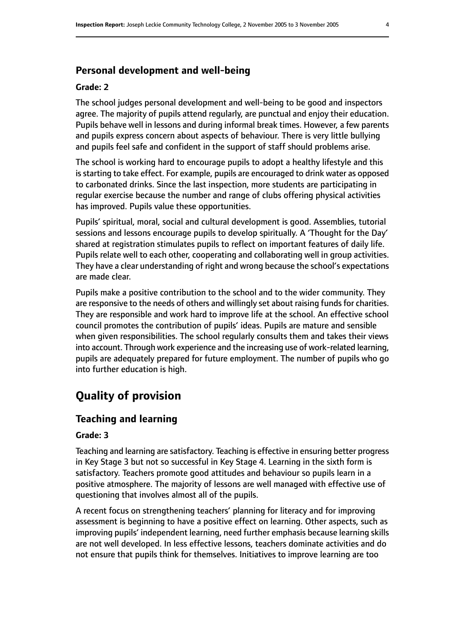## **Personal development and well-being**

#### **Grade: 2**

The school judges personal development and well-being to be good and inspectors agree. The majority of pupils attend regularly, are punctual and enjoy their education. Pupils behave well in lessons and during informal break times. However, a few parents and pupils express concern about aspects of behaviour. There is very little bullying and pupils feel safe and confident in the support of staff should problems arise.

The school is working hard to encourage pupils to adopt a healthy lifestyle and this is starting to take effect. For example, pupils are encouraged to drink water as opposed to carbonated drinks. Since the last inspection, more students are participating in regular exercise because the number and range of clubs offering physical activities has improved. Pupils value these opportunities.

Pupils' spiritual, moral, social and cultural development is good. Assemblies, tutorial sessions and lessons encourage pupils to develop spiritually. A 'Thought for the Day' shared at registration stimulates pupils to reflect on important features of daily life. Pupils relate well to each other, cooperating and collaborating well in group activities. They have a clear understanding of right and wrong because the school's expectations are made clear.

Pupils make a positive contribution to the school and to the wider community. They are responsive to the needs of others and willingly set about raising funds for charities. They are responsible and work hard to improve life at the school. An effective school council promotes the contribution of pupils' ideas. Pupils are mature and sensible when given responsibilities. The school regularly consults them and takes their views into account. Through work experience and the increasing use of work-related learning, pupils are adequately prepared for future employment. The number of pupils who go into further education is high.

# **Quality of provision**

# **Teaching and learning**

#### **Grade: 3**

Teaching and learning are satisfactory. Teaching is effective in ensuring better progress in Key Stage 3 but not so successful in Key Stage 4. Learning in the sixth form is satisfactory. Teachers promote good attitudes and behaviour so pupils learn in a positive atmosphere. The majority of lessons are well managed with effective use of questioning that involves almost all of the pupils.

A recent focus on strengthening teachers' planning for literacy and for improving assessment is beginning to have a positive effect on learning. Other aspects, such as improving pupils' independent learning, need further emphasis because learning skills are not well developed. In less effective lessons, teachers dominate activities and do not ensure that pupils think for themselves. Initiatives to improve learning are too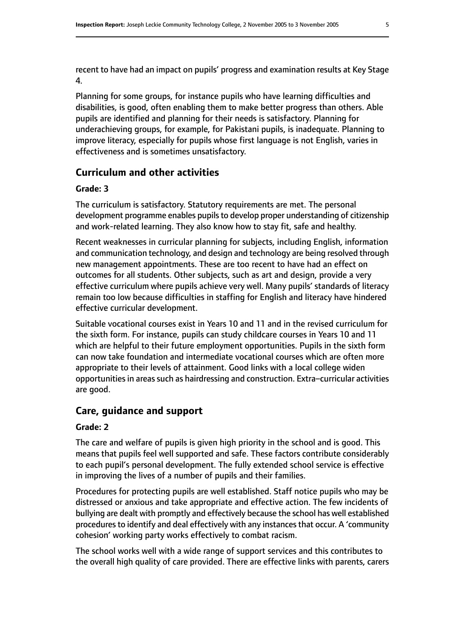recent to have had an impact on pupils' progress and examination results at Key Stage 4.

Planning for some groups, for instance pupils who have learning difficulties and disabilities, is good, often enabling them to make better progress than others. Able pupils are identified and planning for their needs is satisfactory. Planning for underachieving groups, for example, for Pakistani pupils, is inadequate. Planning to improve literacy, especially for pupils whose first language is not English, varies in effectiveness and is sometimes unsatisfactory.

## **Curriculum and other activities**

#### **Grade: 3**

The curriculum is satisfactory. Statutory requirements are met. The personal development programme enables pupils to develop proper understanding of citizenship and work-related learning. They also know how to stay fit, safe and healthy.

Recent weaknesses in curricular planning for subjects, including English, information and communication technology, and design and technology are being resolved through new management appointments. These are too recent to have had an effect on outcomes for all students. Other subjects, such as art and design, provide a very effective curriculum where pupils achieve very well. Many pupils' standards of literacy remain too low because difficulties in staffing for English and literacy have hindered effective curricular development.

Suitable vocational courses exist in Years 10 and 11 and in the revised curriculum for the sixth form. For instance, pupils can study childcare courses in Years 10 and 11 which are helpful to their future employment opportunities. Pupils in the sixth form can now take foundation and intermediate vocational courses which are often more appropriate to their levels of attainment. Good links with a local college widen opportunities in areas such as hairdressing and construction. Extra–curricular activities are good.

# **Care, guidance and support**

#### **Grade: 2**

The care and welfare of pupils is given high priority in the school and is good. This means that pupils feel well supported and safe. These factors contribute considerably to each pupil's personal development. The fully extended school service is effective in improving the lives of a number of pupils and their families.

Procedures for protecting pupils are well established. Staff notice pupils who may be distressed or anxious and take appropriate and effective action. The few incidents of bullying are dealt with promptly and effectively because the school has well established procedures to identify and deal effectively with any instances that occur. A 'community cohesion' working party works effectively to combat racism.

The school works well with a wide range of support services and this contributes to the overall high quality of care provided. There are effective links with parents, carers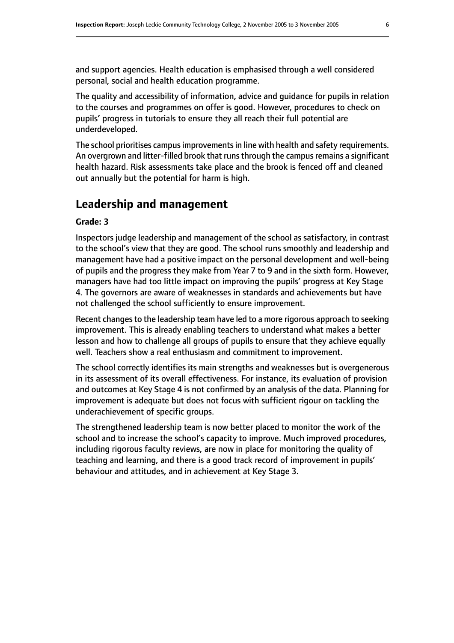and support agencies. Health education is emphasised through a well considered personal, social and health education programme.

The quality and accessibility of information, advice and guidance for pupils in relation to the courses and programmes on offer is good. However, procedures to check on pupils' progress in tutorials to ensure they all reach their full potential are underdeveloped.

The school prioritises campus improvements in line with health and safety requirements. An overgrown and litter-filled brook that runs through the campus remains a significant health hazard. Risk assessments take place and the brook is fenced off and cleaned out annually but the potential for harm is high.

# **Leadership and management**

#### **Grade: 3**

Inspectors judge leadership and management of the school as satisfactory, in contrast to the school's view that they are good. The school runs smoothly and leadership and management have had a positive impact on the personal development and well-being of pupils and the progress they make from Year 7 to 9 and in the sixth form. However, managers have had too little impact on improving the pupils' progress at Key Stage 4. The governors are aware of weaknesses in standards and achievements but have not challenged the school sufficiently to ensure improvement.

Recent changesto the leadership team have led to a more rigorous approach to seeking improvement. This is already enabling teachers to understand what makes a better lesson and how to challenge all groups of pupils to ensure that they achieve equally well. Teachers show a real enthusiasm and commitment to improvement.

The school correctly identifies its main strengths and weaknesses but is overgenerous in its assessment of its overall effectiveness. For instance, its evaluation of provision and outcomes at Key Stage 4 is not confirmed by an analysis of the data. Planning for improvement is adequate but does not focus with sufficient rigour on tackling the underachievement of specific groups.

The strengthened leadership team is now better placed to monitor the work of the school and to increase the school's capacity to improve. Much improved procedures, including rigorous faculty reviews, are now in place for monitoring the quality of teaching and learning, and there is a good track record of improvement in pupils' behaviour and attitudes, and in achievement at Key Stage 3.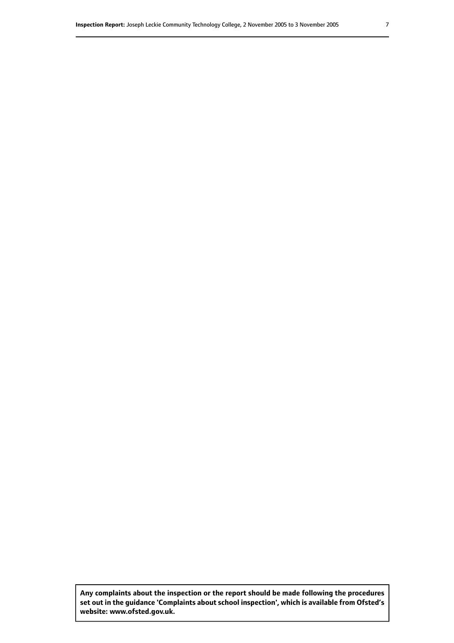**Any complaints about the inspection or the report should be made following the procedures set out inthe guidance 'Complaints about school inspection', whichis available from Ofsted's website: www.ofsted.gov.uk.**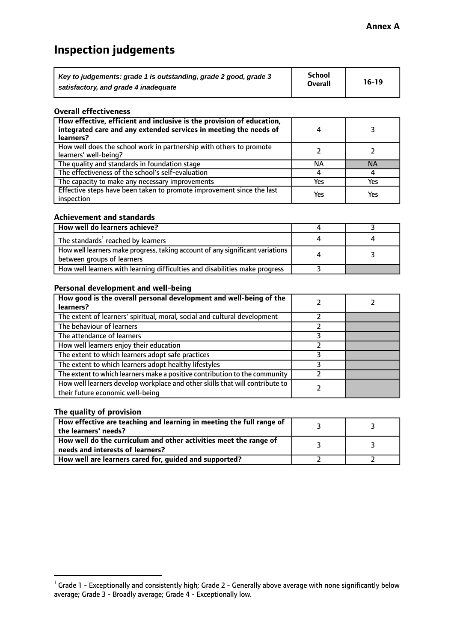# **Inspection judgements**

| Key to judgements: grade 1 is outstanding, grade 2 good, grade 3 | School         | $16-19$ |
|------------------------------------------------------------------|----------------|---------|
| satisfactory, and grade 4 inadequate                             | <b>Overall</b> |         |

#### **Overall effectiveness**

| How effective, efficient and inclusive is the provision of education,<br>integrated care and any extended services in meeting the needs of<br>learners? |     |           |
|---------------------------------------------------------------------------------------------------------------------------------------------------------|-----|-----------|
| How well does the school work in partnership with others to promote<br>learners' well-being?                                                            |     |           |
| The quality and standards in foundation stage                                                                                                           | ΝA  | <b>NA</b> |
| The effectiveness of the school's self-evaluation                                                                                                       |     |           |
| The capacity to make any necessary improvements                                                                                                         | Yes | Yes       |
| Effective steps have been taken to promote improvement since the last<br>inspection                                                                     | Yes | Yes       |

#### **Achievement and standards**

| How well do learners achieve?                                                                                 |  |
|---------------------------------------------------------------------------------------------------------------|--|
| The standards <sup>1</sup> reached by learners                                                                |  |
| How well learners make progress, taking account of any significant variations  <br>between groups of learners |  |
| How well learners with learning difficulties and disabilities make progress                                   |  |

#### **Personal development and well-being**

| How good is the overall personal development and well-being of the<br>learners?                                  |  |
|------------------------------------------------------------------------------------------------------------------|--|
| The extent of learners' spiritual, moral, social and cultural development                                        |  |
| The behaviour of learners                                                                                        |  |
| The attendance of learners                                                                                       |  |
| How well learners enjoy their education                                                                          |  |
| The extent to which learners adopt safe practices                                                                |  |
| The extent to which learners adopt healthy lifestyles                                                            |  |
| The extent to which learners make a positive contribution to the community                                       |  |
| How well learners develop workplace and other skills that will contribute to<br>their future economic well-being |  |

#### **The quality of provision**

| How effective are teaching and learning in meeting the full range of<br>the learners' needs?          |  |
|-------------------------------------------------------------------------------------------------------|--|
| How well do the curriculum and other activities meet the range of<br>needs and interests of learners? |  |
| How well are learners cared for, guided and supported?                                                |  |

 $^1$  Grade 1 - Exceptionally and consistently high; Grade 2 - Generally above average with none significantly below average; Grade 3 - Broadly average; Grade 4 - Exceptionally low.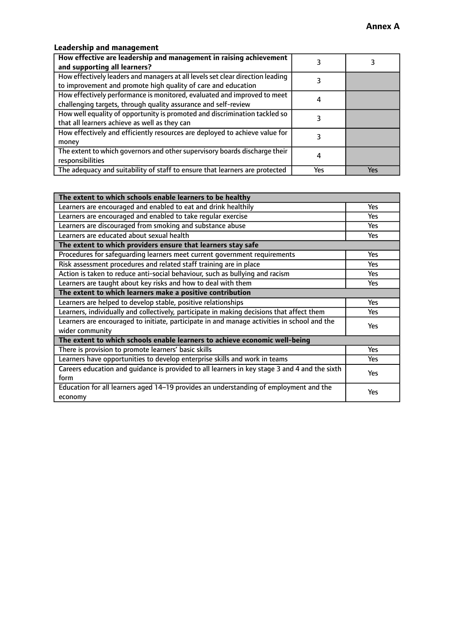# **Leadership and management**

| How effective are leadership and management in raising achievement<br>and supporting all learners?                                              |     |     |
|-------------------------------------------------------------------------------------------------------------------------------------------------|-----|-----|
| How effectively leaders and managers at all levels set clear direction leading<br>to improvement and promote high quality of care and education |     |     |
| How effectively performance is monitored, evaluated and improved to meet<br>challenging targets, through quality assurance and self-review      |     |     |
| How well equality of opportunity is promoted and discrimination tackled so<br>that all learners achieve as well as they can                     |     |     |
| How effectively and efficiently resources are deployed to achieve value for<br>money                                                            |     |     |
| The extent to which governors and other supervisory boards discharge their<br>responsibilities                                                  |     |     |
| The adequacy and suitability of staff to ensure that learners are protected                                                                     | Yes | Yes |

| The extent to which schools enable learners to be healthy                                     |            |  |
|-----------------------------------------------------------------------------------------------|------------|--|
| Learners are encouraged and enabled to eat and drink healthily                                | Yes        |  |
| Learners are encouraged and enabled to take regular exercise                                  | <b>Yes</b> |  |
| Learners are discouraged from smoking and substance abuse                                     | Yes        |  |
| Learners are educated about sexual health                                                     | Yes        |  |
| The extent to which providers ensure that learners stay safe                                  |            |  |
| Procedures for safequarding learners meet current government requirements                     | Yes        |  |
| Risk assessment procedures and related staff training are in place                            | <b>Yes</b> |  |
| Action is taken to reduce anti-social behaviour, such as bullying and racism                  | Yes        |  |
| Learners are taught about key risks and how to deal with them                                 | Yes        |  |
| The extent to which learners make a positive contribution                                     |            |  |
| Learners are helped to develop stable, positive relationships                                 | <b>Yes</b> |  |
| Learners, individually and collectively, participate in making decisions that affect them     | <b>Yes</b> |  |
| Learners are encouraged to initiate, participate in and manage activities in school and the   | Yes        |  |
| wider community                                                                               |            |  |
| The extent to which schools enable learners to achieve economic well-being                    |            |  |
| There is provision to promote learners' basic skills                                          | Yes        |  |
| Learners have opportunities to develop enterprise skills and work in teams                    | Yes        |  |
| Careers education and quidance is provided to all learners in key stage 3 and 4 and the sixth | Yes        |  |
| form                                                                                          |            |  |
| Education for all learners aged 14-19 provides an understanding of employment and the         | Yes        |  |
| economy                                                                                       |            |  |